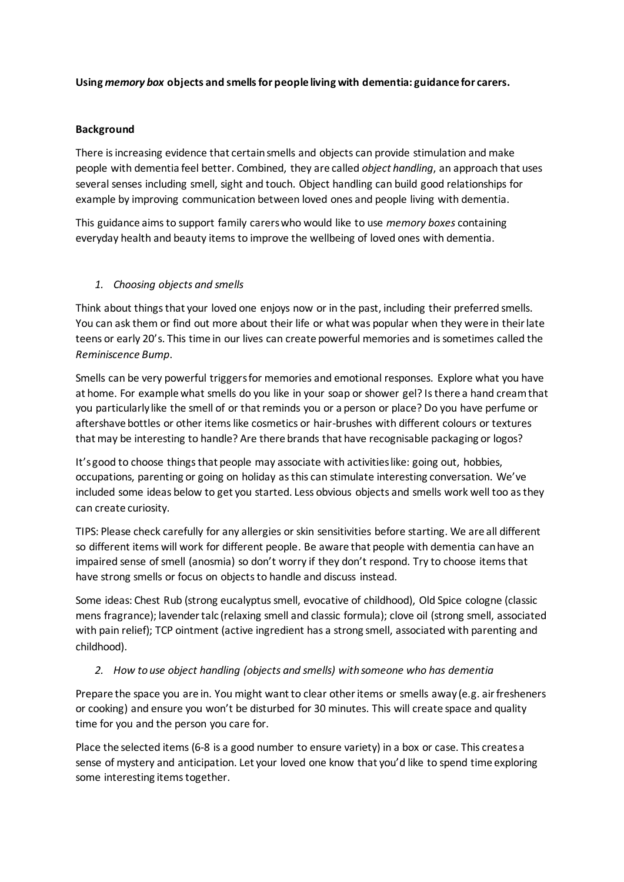# **Using** *memory box* **objects and smells for people living with dementia: guidance for carers.**

## **Background**

There is increasing evidence that certain smells and objects can provide stimulation and make people with dementia feel better. Combined, they are called *object handling*, an approach that uses several senses including smell, sight and touch. Object handling can build good relationships for example by improving communication between loved ones and people living with dementia.

This guidance aims to support family carers who would like to use *memory boxes* containing everyday health and beauty items to improve the wellbeing of loved ones with dementia.

## *1. Choosing objects and smells*

Think about things that your loved one enjoys now or in the past, including their preferred smells. You can ask them or find out more about their life or what was popular when they were in their late teens or early 20's. This time in our lives can create powerful memories and is sometimes called the *Reminiscence Bump*.

Smells can be very powerful triggersfor memories and emotional responses. Explore what you have at home. For example what smells do you like in your soap or shower gel? Is there a hand cream that you particularly like the smell of or that reminds you or a person or place? Do you have perfume or aftershave bottles or other items like cosmetics or hair-brushes with different colours or textures that may be interesting to handle? Are there brands that have recognisable packaging or logos?

It's good to choose things that people may associate with activities like: going out, hobbies, occupations, parenting or going on holiday as this can stimulate interesting conversation. We've included some ideas below to get you started. Less obvious objects and smells work well too as they can create curiosity.

TIPS: Please check carefully for any allergies or skin sensitivities before starting. We are all different so different items will work for different people. Be aware that people with dementia can have an impaired sense of smell (anosmia) so don't worry if they don't respond. Try to choose items that have strong smells or focus on objects to handle and discuss instead.

Some ideas: Chest Rub (strong eucalyptus smell, evocative of childhood), Old Spice cologne (classic mens fragrance); lavender talc (relaxing smell and classic formula); clove oil (strong smell, associated with pain relief); TCP ointment (active ingredient has a strong smell, associated with parenting and childhood).

# *2. How to use object handling (objects and smells) with someone who has dementia*

Prepare the space you are in. You might want to clear other items or smells away (e.g. air fresheners or cooking) and ensure you won't be disturbed for 30 minutes. This will create space and quality time for you and the person you care for.

Place the selected items (6-8 is a good number to ensure variety) in a box or case. This creates a sense of mystery and anticipation. Let your loved one know that you'd like to spend time exploring some interesting items together.